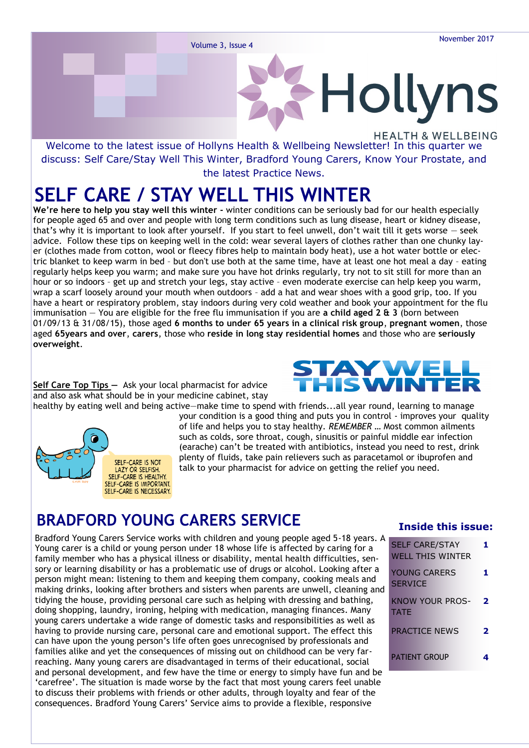# Hollyns **HEALTH & WELLBEING**

Welcome to the latest issue of Hollyns Health & Wellbeing Newsletter! In this quarter we discuss: Self Care/Stay Well This Winter, Bradford Young Carers, Know Your Prostate, and the latest Practice News.

# **SELF CARE / STAY WELL THIS WINTER**

**We're here to help you stay well this winter -** winter conditions can be seriously bad for our health especially for people aged 65 and over and people with long term conditions such as lung disease, heart or kidney disease, that's why it is important to look after yourself. If you start to feel unwell, don't wait till it gets worse — seek advice. Follow these tips on keeping well in the cold: wear several layers of clothes rather than one chunky layer (clothes made from cotton, wool or fleecy fibres help to maintain body heat), use a hot water bottle or electric blanket to keep warm in bed – but don't use both at the same time, have at least one hot meal a day – eating regularly helps keep you warm; and make sure you have hot drinks regularly, try not to sit still for more than an hour or so indoors – get up and stretch your legs, stay active – even moderate exercise can help keep you warm, wrap a scarf loosely around your mouth when outdoors – add a hat and wear shoes with a good grip, too. If you have a heart or respiratory problem, stay indoors during very cold weather and book your appointment for the flu immunisation — You are eligible for the free flu immunisation if you are **a child aged 2 & 3** (born between 01/09/13 & 31/08/15), those aged **6 months to under 65 years in a clinical risk group**, **pregnant women**, those aged **65years and over**, **carers**, those who **reside in long stay residential homes** and those who are **seriously overweight**.

**Self Care Top Tips —** Ask your local pharmacist for advice and also ask what should be in your medicine cabinet, stay healthy by eating well and being active—make time to spend with friends...all year round, learning to manage



# STAYWEL

your condition is a good thing and puts you in control - improves your quality of life and helps you to stay healthy. *REMEMBER …* Most common ailments such as colds, sore throat, cough, sinusitis or painful middle ear infection (earache) can't be treated with antibiotics, instead you need to rest, drink plenty of fluids, take pain relievers such as paracetamol or ibuprofen and talk to your pharmacist for advice on getting the relief you need.

### **BRADFORD YOUNG CARERS SERVICE**

Bradford Young Carers Service works with children and young people aged 5-18 years. A Young carer is a child or young person under 18 whose life is affected by caring for a family member who has a physical illness or disability, mental health difficulties, sensory or learning disability or has a problematic use of drugs or alcohol. Looking after a person might mean: listening to them and keeping them company, cooking meals and making drinks, looking after brothers and sisters when parents are unwell, cleaning and tidying the house, providing personal care such as helping with dressing and bathing, doing shopping, laundry, ironing, helping with medication, managing finances. Many young carers undertake a wide range of domestic tasks and responsibilities as well as having to provide nursing care, personal care and emotional support. The effect this can have upon the young person's life often goes unrecognised by professionals and families alike and yet the consequences of missing out on childhood can be very farreaching. Many young carers are disadvantaged in terms of their educational, social and personal development, and few have the time or energy to simply have fun and be 'carefree'. The situation is made worse by the fact that most young carers feel unable to discuss their problems with friends or other adults, through loyalty and fear of the consequences. Bradford Young Carers' Service aims to provide a flexible, responsive

#### **Inside this issue:**

| <b>SELF CARE/STAY</b><br><b>WELL THIS WINTER</b> |   |
|--------------------------------------------------|---|
| YOUNG CARERS<br><b>SERVICE</b>                   |   |
| KNOW YOUR PROS-<br><b>TATF</b>                   | 2 |
| PRACTICE NEWS                                    | 7 |
| <b>PATIENT GROUP</b>                             |   |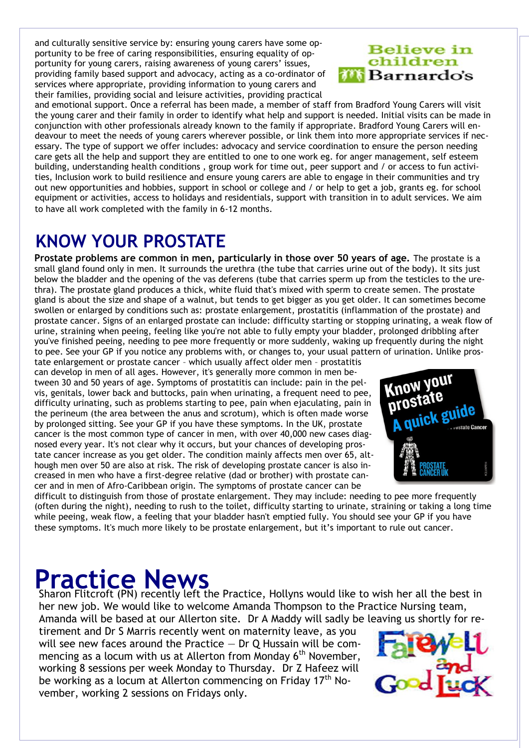and culturally sensitive service by: ensuring young carers have some opportunity to be free of caring responsibilities, ensuring equality of opportunity for young carers, raising awareness of young carers' issues, providing family based support and advocacy, acting as a co-ordinator of services where appropriate, providing information to young carers and their families, providing social and leisure activities, providing practical

#### **Believe in** children *i* Barnardo's

and emotional support. Once a referral has been made, a member of staff from Bradford Young Carers will visit the young carer and their family in order to identify what help and support is needed. Initial visits can be made in conjunction with other professionals already known to the family if appropriate. Bradford Young Carers will endeavour to meet the needs of young carers wherever possible, or link them into more appropriate services if necessary. The type of support we offer includes: advocacy and service coordination to ensure the person needing care gets all the help and support they are entitled to one to one work eg. for anger management, self esteem building, understanding health conditions , group work for time out, peer support and / or access to fun activities, Inclusion work to build resilience and ensure young carers are able to engage in their communities and try out new opportunities and hobbies, support in school or college and / or help to get a job, grants eg. for school equipment or activities, access to holidays and residentials, support with transition in to adult services. We aim to have all work completed with the family in 6-12 months.

# **KNOW YOUR PROSTATE**

**Prostate problems are common in men, particularly in those over 50 years of age.** The prostate is a small gland found only in men. It surrounds the urethra (the tube that carries urine out of the body). It sits just below the bladder and the opening of the vas deferens (tube that carries sperm up from the testicles to the urethra). The prostate gland produces a thick, white fluid that's mixed with sperm to create semen. The prostate gland is about the size and shape of a walnut, but tends to get bigger as you get older. It can sometimes become swollen or enlarged by conditions such as: [prostate enlargement,](https://www.nhs.uk/Conditions/Prostate-disease/Pages/Introduction.aspx#BPH) [prostatitis \(inflammation of the prostate\)](https://www.nhs.uk/Conditions/Prostate-disease/Pages/Introduction.aspx#prostatitis) and [prostate cancer.](https://www.nhs.uk/Conditions/Prostate-disease/Pages/Introduction.aspx#cancer) Signs of an enlarged prostate can include: difficulty starting or stopping urinating, a weak flow of urine, straining when peeing, feeling like you're not able to fully empty your bladder, prolonged dribbling after you've finished peeing, needing to pee more frequently or more suddenly, waking up frequently during the night to pee. See your GP if you notice any problems with, or changes to, your usual pattern of urination. Unlike pros-

tate enlargement or prostate cancer – which usually affect older men – prostatitis can develop in men of all ages. However, it's generally more common in men between 30 and 50 years of age. Symptoms of prostatitis can include: pain in the pelvis, genitals, lower back and buttocks, pain when urinating, a frequent need to pee, difficulty urinating, such as problems starting to pee, pain when ejaculating, pain in the perineum (the area between the anus and scrotum), which is often made worse by prolonged sitting. See your GP if you have these symptoms. In the UK, prostate cancer is the most common type of [cancer](https://www.nhs.uk/conditions/Cancer/Pages/Introduction.aspx) in men, with over 40,000 new cases diagnosed every year. It's not clear why it occurs, but your chances of developing prostate cancer increase as you get older. The condition mainly affects men over 65, although men over 50 are also at risk. The risk of developing prostate cancer is also increased in men who have a first-degree relative (dad or brother) with prostate cancer and in men of Afro-Caribbean origin. The [symptoms of prostate cancer](https://www.nhs.uk/Conditions/Cancer-of-the-prostate/Pages/Symptoms.aspx) can be



difficult to distinguish from those of prostate enlargement. They may include: needing to pee more frequently (often during the night), needing to rush to the toilet, difficulty starting to urinate, straining or taking a long time while peeing, weak flow, a feeling that your bladder hasn't emptied fully. You should see your GP if you have these symptoms. It's much more likely to be prostate enlargement, but it's important to rule out cancer.

**Practice News**<br>Sharon Flitcroft (PN) recently left the Practice, Hollyns would like to wish her all the best in her new job. We would like to welcome Amanda Thompson to the Practice Nursing team, Amanda will be based at our Allerton site. Dr A Maddy will sadly be leaving us shortly for re-

tirement and Dr S Marris recently went on maternity leave, as you will see new faces around the Practice  $-$  Dr Q Hussain will be commencing as a locum with us at Allerton from Monday 6<sup>th</sup> November, working 8 sessions per week Monday to Thursday. Dr Z Hafeez will be working as a locum at Allerton commencing on Friday 17<sup>th</sup> November, working 2 sessions on Fridays only.

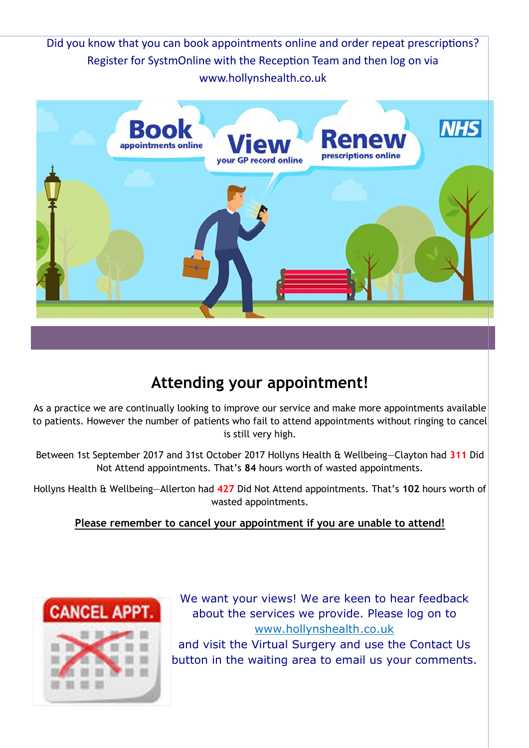Did you know that you can book appointments online and order repeat prescriptions? Register for SystmOnline with the Reception Team and then log on via www.hollynshealth.co.uk



#### **Attending your appointment!**

As a practice we are continually looking to improve our service and make more appointments available to patients. However the number of patients who fail to attend appointments without ringing to cancel is still very high.

Between 1st September 2017 and 31st October 2017 Hollyns Health & Wellbeing—Clayton had **311** Did Not Attend appointments. That's **84** hours worth of wasted appointments.

Hollyns Health & Wellbeing—Allerton had **427** Did Not Attend appointments. That's **102** hours worth of wasted appointments.

#### **Please remember to cancel your appointment if you are unable to attend!**



We want your views! We are keen to hear feedback about the services we provide. Please log on to www.hollynshealth.co.uk and visit the Virtual Surgery and use the Contact Us button in the waiting area to email us your comments.